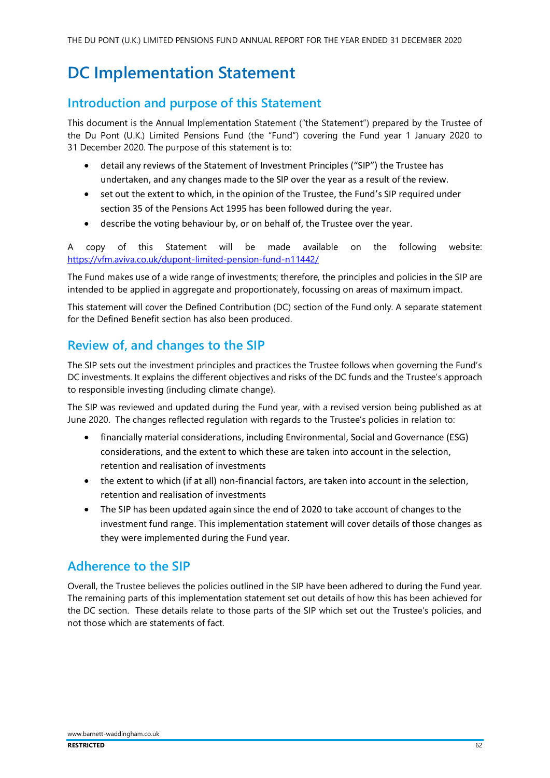# DC Implementation Statement

# Introduction and purpose of this Statement

This document is the Annual Implementation Statement ("the Statement") prepared by the Trustee of the Du Pont (U.K.) Limited Pensions Fund (the "Fund") covering the Fund year 1 January 2020 to 31 December 2020. The purpose of this statement is to:

- detail any reviews of the Statement of Investment Principles ("SIP") the Trustee has undertaken, and any changes made to the SIP over the year as a result of the review.
- set out the extent to which, in the opinion of the Trustee, the Fund's SIP required under section 35 of the Pensions Act 1995 has been followed during the year.
- describe the voting behaviour by, or on behalf of, the Trustee over the year.

A copy of this Statement will be made available on the following website: https://vfm.aviva.co.uk/dupont-limited-pension-fund-n11442/

The Fund makes use of a wide range of investments; therefore, the principles and policies in the SIP are intended to be applied in aggregate and proportionately, focussing on areas of maximum impact.

This statement will cover the Defined Contribution (DC) section of the Fund only. A separate statement for the Defined Benefit section has also been produced.

### Review of, and changes to the SIP

The SIP sets out the investment principles and practices the Trustee follows when governing the Fund's DC investments. It explains the different objectives and risks of the DC funds and the Trustee's approach to responsible investing (including climate change).

The SIP was reviewed and updated during the Fund year, with a revised version being published as at June 2020. The changes reflected regulation with regards to the Trustee's policies in relation to:

- financially material considerations, including Environmental, Social and Governance (ESG) considerations, and the extent to which these are taken into account in the selection, retention and realisation of investments
- the extent to which (if at all) non-financial factors, are taken into account in the selection, retention and realisation of investments
- The SIP has been updated again since the end of 2020 to take account of changes to the investment fund range. This implementation statement will cover details of those changes as they were implemented during the Fund year.

#### Adherence to the SIP

Overall, the Trustee believes the policies outlined in the SIP have been adhered to during the Fund year. The remaining parts of this implementation statement set out details of how this has been achieved for the DC section. These details relate to those parts of the SIP which set out the Trustee's policies, and not those which are statements of fact.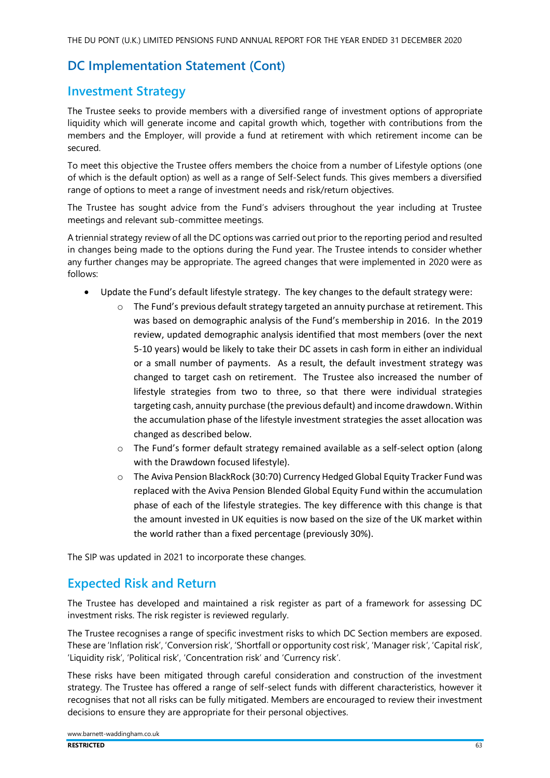# Investment Strategy

The Trustee seeks to provide members with a diversified range of investment options of appropriate liquidity which will generate income and capital growth which, together with contributions from the members and the Employer, will provide a fund at retirement with which retirement income can be secured.

To meet this objective the Trustee offers members the choice from a number of Lifestyle options (one of which is the default option) as well as a range of Self-Select funds. This gives members a diversified range of options to meet a range of investment needs and risk/return objectives.

The Trustee has sought advice from the Fund's advisers throughout the year including at Trustee meetings and relevant sub-committee meetings.

A triennial strategy review of all the DC options was carried out prior to the reporting period and resulted in changes being made to the options during the Fund year. The Trustee intends to consider whether any further changes may be appropriate. The agreed changes that were implemented in 2020 were as follows:

- Update the Fund's default lifestyle strategy. The key changes to the default strategy were:
	- o The Fund's previous default strategy targeted an annuity purchase at retirement. This was based on demographic analysis of the Fund's membership in 2016. In the 2019 review, updated demographic analysis identified that most members (over the next 5-10 years) would be likely to take their DC assets in cash form in either an individual or a small number of payments. As a result, the default investment strategy was changed to target cash on retirement. The Trustee also increased the number of lifestyle strategies from two to three, so that there were individual strategies targeting cash, annuity purchase (the previous default) and income drawdown. Within the accumulation phase of the lifestyle investment strategies the asset allocation was changed as described below.
	- o The Fund's former default strategy remained available as a self-select option (along with the Drawdown focused lifestyle).
	- o The Aviva Pension BlackRock (30:70) Currency Hedged Global Equity Tracker Fund was replaced with the Aviva Pension Blended Global Equity Fund within the accumulation phase of each of the lifestyle strategies. The key difference with this change is that the amount invested in UK equities is now based on the size of the UK market within the world rather than a fixed percentage (previously 30%).

The SIP was updated in 2021 to incorporate these changes.

#### Expected Risk and Return

The Trustee has developed and maintained a risk register as part of a framework for assessing DC investment risks. The risk register is reviewed regularly.

The Trustee recognises a range of specific investment risks to which DC Section members are exposed. These are 'Inflation risk', 'Conversion risk', 'Shortfall or opportunity cost risk', 'Manager risk', 'Capital risk', 'Liquidity risk', 'Political risk', 'Concentration risk' and 'Currency risk'.

These risks have been mitigated through careful consideration and construction of the investment strategy. The Trustee has offered a range of self-select funds with different characteristics, however it recognises that not all risks can be fully mitigated. Members are encouraged to review their investment decisions to ensure they are appropriate for their personal objectives.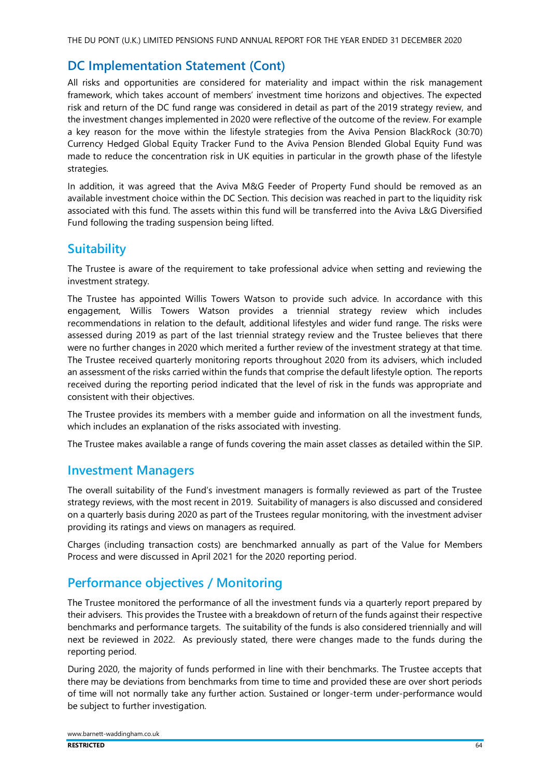THE DU PONT (U.K.) LIMITED PENSIONS FUND ANNUAL REPORT FOR THE YEAR ENDED 31 DECEMBER 2020

## DC Implementation Statement (Cont)

All risks and opportunities are considered for materiality and impact within the risk management framework, which takes account of members' investment time horizons and objectives. The expected risk and return of the DC fund range was considered in detail as part of the 2019 strategy review, and the investment changes implemented in 2020 were reflective of the outcome of the review. For example a key reason for the move within the lifestyle strategies from the Aviva Pension BlackRock (30:70) Currency Hedged Global Equity Tracker Fund to the Aviva Pension Blended Global Equity Fund was made to reduce the concentration risk in UK equities in particular in the growth phase of the lifestyle strategies.

In addition, it was agreed that the Aviva M&G Feeder of Property Fund should be removed as an available investment choice within the DC Section. This decision was reached in part to the liquidity risk associated with this fund. The assets within this fund will be transferred into the Aviva L&G Diversified Fund following the trading suspension being lifted.

### **Suitability**

The Trustee is aware of the requirement to take professional advice when setting and reviewing the investment strategy.

The Trustee has appointed Willis Towers Watson to provide such advice. In accordance with this engagement, Willis Towers Watson provides a triennial strategy review which includes recommendations in relation to the default, additional lifestyles and wider fund range. The risks were assessed during 2019 as part of the last triennial strategy review and the Trustee believes that there were no further changes in 2020 which merited a further review of the investment strategy at that time. The Trustee received quarterly monitoring reports throughout 2020 from its advisers, which included an assessment of the risks carried within the funds that comprise the default lifestyle option. The reports received during the reporting period indicated that the level of risk in the funds was appropriate and consistent with their objectives.

The Trustee provides its members with a member guide and information on all the investment funds, which includes an explanation of the risks associated with investing.

The Trustee makes available a range of funds covering the main asset classes as detailed within the SIP.

#### Investment Managers

The overall suitability of the Fund's investment managers is formally reviewed as part of the Trustee strategy reviews, with the most recent in 2019. Suitability of managers is also discussed and considered on a quarterly basis during 2020 as part of the Trustees regular monitoring, with the investment adviser providing its ratings and views on managers as required.

Charges (including transaction costs) are benchmarked annually as part of the Value for Members Process and were discussed in April 2021 for the 2020 reporting period.

# Performance objectives / Monitoring

The Trustee monitored the performance of all the investment funds via a quarterly report prepared by their advisers. This provides the Trustee with a breakdown of return of the funds against their respective benchmarks and performance targets. The suitability of the funds is also considered triennially and will next be reviewed in 2022. As previously stated, there were changes made to the funds during the reporting period.

During 2020, the majority of funds performed in line with their benchmarks. The Trustee accepts that there may be deviations from benchmarks from time to time and provided these are over short periods of time will not normally take any further action. Sustained or longer-term under-performance would be subject to further investigation.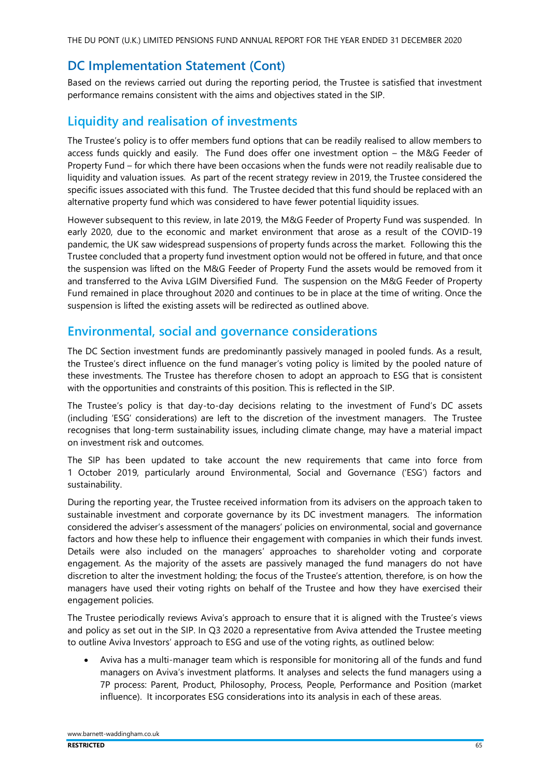THE DU PONT (U.K.) LIMITED PENSIONS FUND ANNUAL REPORT FOR THE YEAR ENDED 31 DECEMBER 2020

## DC Implementation Statement (Cont)

Based on the reviews carried out during the reporting period, the Trustee is satisfied that investment performance remains consistent with the aims and objectives stated in the SIP.

# Liquidity and realisation of investments

The Trustee's policy is to offer members fund options that can be readily realised to allow members to access funds quickly and easily. The Fund does offer one investment option – the M&G Feeder of Property Fund – for which there have been occasions when the funds were not readily realisable due to liquidity and valuation issues. As part of the recent strategy review in 2019, the Trustee considered the specific issues associated with this fund. The Trustee decided that this fund should be replaced with an alternative property fund which was considered to have fewer potential liquidity issues.

However subsequent to this review, in late 2019, the M&G Feeder of Property Fund was suspended. In early 2020, due to the economic and market environment that arose as a result of the COVID-19 pandemic, the UK saw widespread suspensions of property funds across the market. Following this the Trustee concluded that a property fund investment option would not be offered in future, and that once the suspension was lifted on the M&G Feeder of Property Fund the assets would be removed from it and transferred to the Aviva LGIM Diversified Fund. The suspension on the M&G Feeder of Property Fund remained in place throughout 2020 and continues to be in place at the time of writing. Once the suspension is lifted the existing assets will be redirected as outlined above.

# Environmental, social and governance considerations

The DC Section investment funds are predominantly passively managed in pooled funds. As a result, the Trustee's direct influence on the fund manager's voting policy is limited by the pooled nature of these investments. The Trustee has therefore chosen to adopt an approach to ESG that is consistent with the opportunities and constraints of this position. This is reflected in the SIP.

The Trustee's policy is that day-to-day decisions relating to the investment of Fund's DC assets (including 'ESG' considerations) are left to the discretion of the investment managers. The Trustee recognises that long-term sustainability issues, including climate change, may have a material impact on investment risk and outcomes.

The SIP has been updated to take account the new requirements that came into force from 1 October 2019, particularly around Environmental, Social and Governance ('ESG') factors and sustainability.

During the reporting year, the Trustee received information from its advisers on the approach taken to sustainable investment and corporate governance by its DC investment managers. The information considered the adviser's assessment of the managers' policies on environmental, social and governance factors and how these help to influence their engagement with companies in which their funds invest. Details were also included on the managers' approaches to shareholder voting and corporate engagement. As the majority of the assets are passively managed the fund managers do not have discretion to alter the investment holding; the focus of the Trustee's attention, therefore, is on how the managers have used their voting rights on behalf of the Trustee and how they have exercised their engagement policies.

The Trustee periodically reviews Aviva's approach to ensure that it is aligned with the Trustee's views and policy as set out in the SIP. In Q3 2020 a representative from Aviva attended the Trustee meeting to outline Aviva Investors' approach to ESG and use of the voting rights, as outlined below:

• Aviva has a multi-manager team which is responsible for monitoring all of the funds and fund managers on Aviva's investment platforms. It analyses and selects the fund managers using a 7P process: Parent, Product, Philosophy, Process, People, Performance and Position (market influence). It incorporates ESG considerations into its analysis in each of these areas.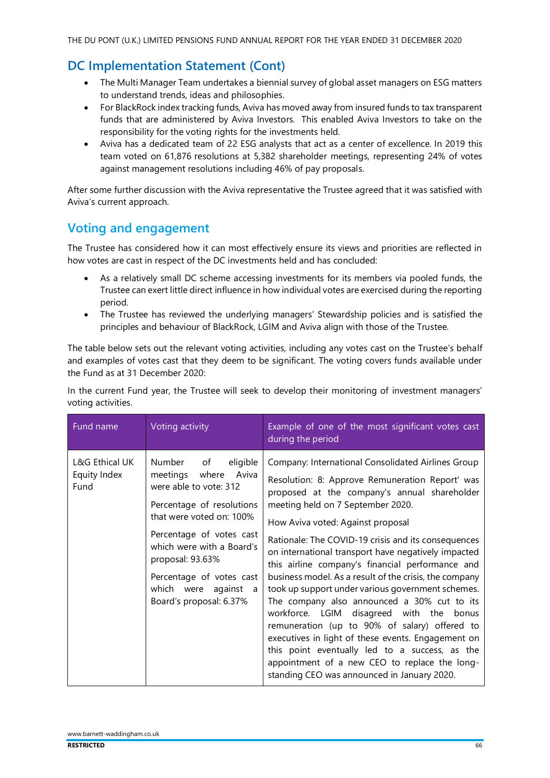- The Multi Manager Team undertakes a biennial survey of global asset managers on ESG matters to understand trends, ideas and philosophies.
- For BlackRock index tracking funds, Aviva has moved away from insured funds to tax transparent funds that are administered by Aviva Investors. This enabled Aviva Investors to take on the responsibility for the voting rights for the investments held.
- Aviva has a dedicated team of 22 ESG analysts that act as a center of excellence. In 2019 this team voted on 61,876 resolutions at 5,382 shareholder meetings, representing 24% of votes against management resolutions including 46% of pay proposals.

After some further discussion with the Aviva representative the Trustee agreed that it was satisfied with Aviva's current approach.

# Voting and engagement

The Trustee has considered how it can most effectively ensure its views and priorities are reflected in how votes are cast in respect of the DC investments held and has concluded:

- As a relatively small DC scheme accessing investments for its members via pooled funds, the Trustee can exert little direct influence in how individual votes are exercised during the reporting period.
- The Trustee has reviewed the underlying managers' Stewardship policies and is satisfied the principles and behaviour of BlackRock, LGIM and Aviva align with those of the Trustee.

The table below sets out the relevant voting activities, including any votes cast on the Trustee's behalf and examples of votes cast that they deem to be significant. The voting covers funds available under the Fund as at 31 December 2020:

In the current Fund year, the Trustee will seek to develop their monitoring of investment managers' voting activities.

| Fund name                              | Voting activity                                                                                                                                                                                                                                                                                       | Example of one of the most significant votes cast<br>during the period                                                                                                                                                                                                                                                                                                                                                                                                                                                                                                                                                                                                                                                                                                                                                                                               |
|----------------------------------------|-------------------------------------------------------------------------------------------------------------------------------------------------------------------------------------------------------------------------------------------------------------------------------------------------------|----------------------------------------------------------------------------------------------------------------------------------------------------------------------------------------------------------------------------------------------------------------------------------------------------------------------------------------------------------------------------------------------------------------------------------------------------------------------------------------------------------------------------------------------------------------------------------------------------------------------------------------------------------------------------------------------------------------------------------------------------------------------------------------------------------------------------------------------------------------------|
| L&G Ethical UK<br>Equity Index<br>Fund | Number of<br>eligible<br>Aviva<br>meetings<br>where<br>were able to vote: 312<br>Percentage of resolutions<br>that were voted on: 100%<br>Percentage of votes cast<br>which were with a Board's<br>proposal: 93.63%<br>Percentage of votes cast<br>which were against<br>a<br>Board's proposal: 6.37% | Company: International Consolidated Airlines Group<br>Resolution: 8: Approve Remuneration Report' was<br>proposed at the company's annual shareholder<br>meeting held on 7 September 2020.<br>How Aviva voted: Against proposal<br>Rationale: The COVID-19 crisis and its consequences<br>on international transport have negatively impacted<br>this airline company's financial performance and<br>business model. As a result of the crisis, the company<br>took up support under various government schemes.<br>The company also announced a 30% cut to its<br>workforce. LGIM disagreed with the bonus<br>remuneration (up to 90% of salary) offered to<br>executives in light of these events. Engagement on<br>this point eventually led to a success, as the<br>appointment of a new CEO to replace the long-<br>standing CEO was announced in January 2020. |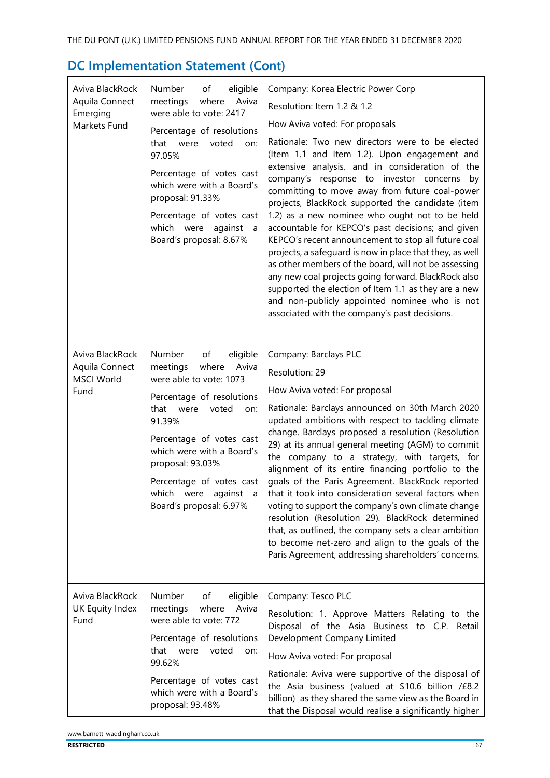| Aviva BlackRock<br>Aquila Connect<br>Emerging<br>Markets Fund<br>Aviva BlackRock | Number<br>of<br>eligible<br>Aviva<br>meetings<br>where<br>were able to vote: 2417<br>Percentage of resolutions<br>that were<br>voted<br>on:<br>97.05%<br>Percentage of votes cast<br>which were with a Board's<br>proposal: 91.33%<br>Percentage of votes cast<br>which were against a<br>Board's proposal: 8.67%<br>Number<br>of<br>eligible | Company: Korea Electric Power Corp<br>Resolution: Item 1.2 & 1.2<br>How Aviva voted: For proposals<br>Rationale: Two new directors were to be elected<br>(Item 1.1 and Item 1.2). Upon engagement and<br>extensive analysis, and in consideration of the<br>company's response to investor concerns by<br>committing to move away from future coal-power<br>projects, BlackRock supported the candidate (item<br>1.2) as a new nominee who ought not to be held<br>accountable for KEPCO's past decisions; and given<br>KEPCO's recent announcement to stop all future coal<br>projects, a safeguard is now in place that they, as well<br>as other members of the board, will not be assessing<br>any new coal projects going forward. BlackRock also<br>supported the election of Item 1.1 as they are a new<br>and non-publicly appointed nominee who is not<br>associated with the company's past decisions.<br>Company: Barclays PLC |
|----------------------------------------------------------------------------------|-----------------------------------------------------------------------------------------------------------------------------------------------------------------------------------------------------------------------------------------------------------------------------------------------------------------------------------------------|-------------------------------------------------------------------------------------------------------------------------------------------------------------------------------------------------------------------------------------------------------------------------------------------------------------------------------------------------------------------------------------------------------------------------------------------------------------------------------------------------------------------------------------------------------------------------------------------------------------------------------------------------------------------------------------------------------------------------------------------------------------------------------------------------------------------------------------------------------------------------------------------------------------------------------------------|
| Aquila Connect<br><b>MSCI World</b><br>Fund                                      | meetings<br>where<br>Aviva<br>were able to vote: 1073<br>Percentage of resolutions<br>that were<br>voted<br>on:<br>91.39%<br>Percentage of votes cast<br>which were with a Board's<br>proposal: 93.03%<br>Percentage of votes cast<br>which<br>were<br>against<br>a<br>Board's proposal: 6.97%                                                | Resolution: 29<br>How Aviva voted: For proposal<br>Rationale: Barclays announced on 30th March 2020<br>updated ambitions with respect to tackling climate<br>change. Barclays proposed a resolution (Resolution<br>29) at its annual general meeting (AGM) to commit<br>the company to a strategy, with targets, for<br>alignment of its entire financing portfolio to the<br>goals of the Paris Agreement. BlackRock reported<br>that it took into consideration several factors when<br>voting to support the company's own climate change<br>resolution (Resolution 29). BlackRock determined<br>that, as outlined, the company sets a clear ambition<br>to become net-zero and align to the goals of the<br>Paris Agreement, addressing shareholders' concerns.                                                                                                                                                                       |
| Aviva BlackRock<br>UK Equity Index<br>Fund                                       | Number<br>eligible<br>of<br>meetings<br>where<br>Aviva<br>were able to vote: 772<br>Percentage of resolutions<br>that were<br>voted<br>on:<br>99.62%<br>Percentage of votes cast<br>which were with a Board's<br>proposal: 93.48%                                                                                                             | Company: Tesco PLC<br>Resolution: 1. Approve Matters Relating to the<br>Disposal of the Asia Business to C.P. Retail<br>Development Company Limited<br>How Aviva voted: For proposal<br>Rationale: Aviva were supportive of the disposal of<br>the Asia business (valued at \$10.6 billion /£8.2<br>billion) as they shared the same view as the Board in<br>that the Disposal would realise a significantly higher                                                                                                                                                                                                                                                                                                                                                                                                                                                                                                                       |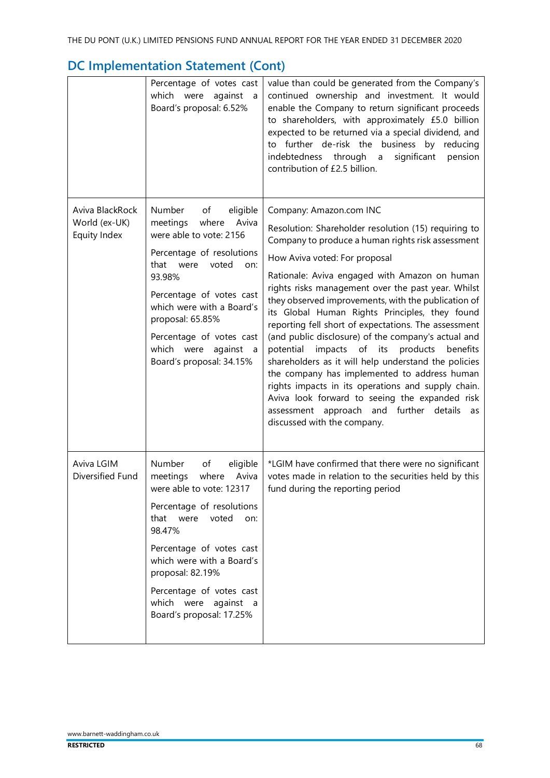|                                                  | Percentage of votes cast<br>which were<br>against<br>a<br>Board's proposal: 6.52%                                                                                                                                                                                                                                     | value than could be generated from the Company's<br>continued ownership and investment. It would<br>enable the Company to return significant proceeds<br>to shareholders, with approximately £5.0 billion<br>expected to be returned via a special dividend, and<br>to further de-risk the business by reducing<br>indebtedness through<br>significant<br>pension<br>$\overline{a}$<br>contribution of £2.5 billion.                                                                                                                                                                                                                                                                                                                                                                                                                                        |
|--------------------------------------------------|-----------------------------------------------------------------------------------------------------------------------------------------------------------------------------------------------------------------------------------------------------------------------------------------------------------------------|-------------------------------------------------------------------------------------------------------------------------------------------------------------------------------------------------------------------------------------------------------------------------------------------------------------------------------------------------------------------------------------------------------------------------------------------------------------------------------------------------------------------------------------------------------------------------------------------------------------------------------------------------------------------------------------------------------------------------------------------------------------------------------------------------------------------------------------------------------------|
| Aviva BlackRock<br>World (ex-UK)<br>Equity Index | Number<br>of<br>eligible<br>Aviva<br>meetings<br>where<br>were able to vote: 2156<br>Percentage of resolutions<br>that<br>were<br>voted<br>on:<br>93.98%<br>Percentage of votes cast<br>which were with a Board's<br>proposal: 65.85%<br>Percentage of votes cast<br>which were against a<br>Board's proposal: 34.15% | Company: Amazon.com INC<br>Resolution: Shareholder resolution (15) requiring to<br>Company to produce a human rights risk assessment<br>How Aviva voted: For proposal<br>Rationale: Aviva engaged with Amazon on human<br>rights risks management over the past year. Whilst<br>they observed improvements, with the publication of<br>its Global Human Rights Principles, they found<br>reporting fell short of expectations. The assessment<br>(and public disclosure) of the company's actual and<br>impacts of its<br>potential<br>products<br>benefits<br>shareholders as it will help understand the policies<br>the company has implemented to address human<br>rights impacts in its operations and supply chain.<br>Aviva look forward to seeing the expanded risk<br>assessment approach and further details<br>as<br>discussed with the company. |
| Aviva LGIM<br>Diversified Fund                   | Number<br>of<br>eligible<br>where<br>Aviva<br>meetings<br>were able to vote: 12317<br>Percentage of resolutions<br>that were<br>voted<br>on:<br>98.47%<br>Percentage of votes cast<br>which were with a Board's<br>proposal: 82.19%<br>Percentage of votes cast<br>which were against a<br>Board's proposal: 17.25%   | *LGIM have confirmed that there were no significant<br>votes made in relation to the securities held by this<br>fund during the reporting period                                                                                                                                                                                                                                                                                                                                                                                                                                                                                                                                                                                                                                                                                                            |